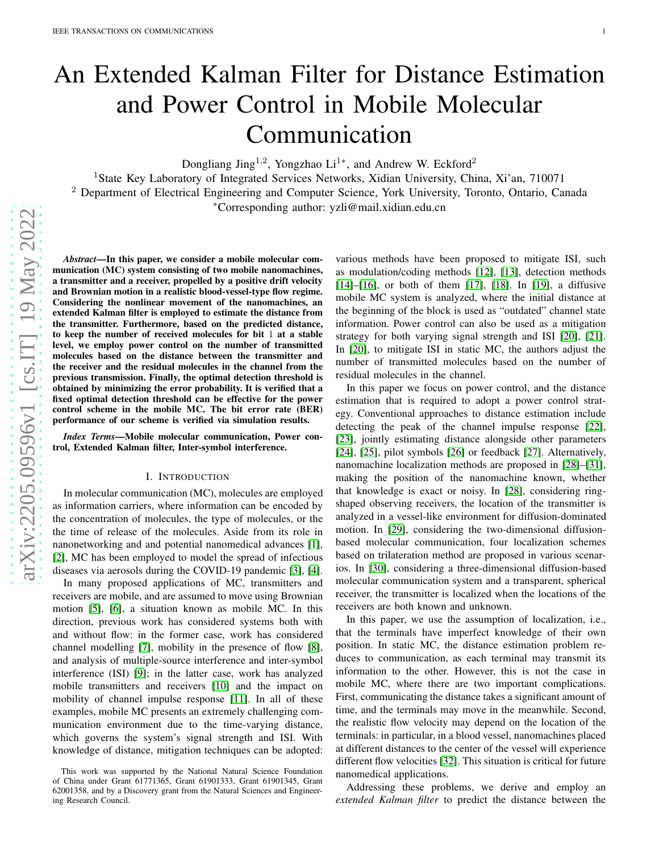# An Extended Kalman Filter for Distance Estimation and Power Control in Mobile Molecular Communication

Dongliang Jing<sup>1,2</sup>, Yongzhao Li<sup>1\*</sup>, and Andrew W. Eckford<sup>2</sup>

<sup>1</sup>State Key Laboratory of Integrated Services Networks, Xidian University, China, Xi'an, 710071

<sup>2</sup> Department of Electrical Engineering and Computer Science, York University, Toronto, Ontario, Canada \*Corresponding author: yzli@mail.xidian.edu.cn

*Abstract*—In this paper, we consider a mobile molecular communication (MC) system consisting of two mobile nanomachines, a transmitter and a receiver, propelled by a positive drift velocity and Brownian motion in a realistic blood-vessel-type flow regime. Considering the nonlinear movement of the nanomachines, an extended Kalman filter is employed to estimate the distance from the transmitter. Furthermore, based on the predicted distance, to keep the number of received molecules for bit 1 at a stable level, we employ power control on the number of transmitted molecules based on the distance between the transmitter and the receiver and the residual molecules in the channel from the previous transmission. Finally, the optimal detection threshold is obtained by minimizing the error probability. It is verified that a fixed optimal detection threshold can be effective for the power control scheme in the mobile MC. The bit error rate (BER) performance of our scheme is verified via simulation results .

*Index Terms*—Mobile molecular communication, Power control, Extended Kalman filter, Inter-symbol interference.

#### I. INTRODUCTION

In molecular communication (MC), molecules are employed as information carriers, where information can be encoded b y the concentration of molecules, the type of molecules, or th e the time of release of the molecules. Aside from its role in nanonetworking and and potential nanomedical advances [\[1\]](#page-11-0) , [\[2\]](#page-11-1), MC has been employed to model the spread of infectious diseases via aerosols during the COVID-19 pandemic [\[3\]](#page-11-2), [\[4\]](#page-11-3) .

In many proposed applications of MC, transmitters and receivers are mobile, and are assumed to move using Brownian motion [\[5\]](#page-11-4), [\[6\]](#page-11-5), a situation known as mobile MC. In this direction, previous work has considered systems both with and without flow: in the former case, work has considered channel modelling [\[7\]](#page-11-6), mobility in the presence of flow [\[8\]](#page-11-7), and analysis of multiple-source interference and inter-symbol interference (ISI) [\[9\]](#page-11-8); in the latter case, work has analyze d mobile transmitters and receivers [\[10\]](#page-11-9) and the impact on mobility of channel impulse response [\[11\]](#page-11-10). In all of these examples, mobile MC presents an extremely challenging communication environment due to the time-varying distance, which governs the system's signal strength and ISI. With knowledge of distance, mitigation techniques can be adopted:

various methods have been proposed to mitigate ISI, such as modulation/coding methods [\[12\]](#page-11-11), [\[13\]](#page-11-12), detection method s [\[14\]](#page-11-13)–[\[16\]](#page-11-14), or both of them [\[17\]](#page-11-15), [\[18\]](#page-11-16). In [\[19\]](#page-11-17), a diffusive mobile MC system is analyzed, where the initial distance at the beginning of the block is used as "outdated" channel stat e information. Power control can also be used as a mitigation strategy for both varying signal strength and ISI [\[20\]](#page-11-18), [\[21\]](#page-11-19) . In [\[20\]](#page-11-18), to mitigate ISI in static MC, the authors adjust the number of transmitted molecules based on the number of residual molecules in the channel.

In this paper we focus on power control, and the distance estimation that is required to adopt a power control strategy. Conventional approaches to distance estimation include detecting the peak of the channel impulse response [\[22\]](#page-11-20), [\[23\]](#page-11-21), jointly estimating distance alongside other parameters [\[24\]](#page-11-22), [\[25\]](#page-11-23), pilot symbols [\[26\]](#page-11-24) or feedback [\[27\]](#page-11-25). Alternatively, nanomachine localization methods are proposed in [\[28\]](#page-11-26)–[\[31\]](#page-11-27), making the position of the nanomachine known, whether that knowledge is exact or noisy. In [\[28\]](#page-11-26), considering ringshaped observing receivers, the location of the transmitter is analyzed in a vessel-like environment for diffusion-dominated motion. In [\[29\]](#page-11-28), considering the two-dimensional diffusionbased molecular communication, four localization schemes based on trilateration method are proposed in various scenarios. In [\[30\]](#page-11-29), considering a three-dimensional diffusion-based molecular communication system and a transparent, spherical receiver, the transmitter is localized when the locations of the receivers are both known and unknown.

In this paper, we use the assumption of localization, i.e., that the terminals have imperfect knowledge of their own position. In static MC, the distance estimation problem reduces to communication, as each terminal may transmit its information to the other. However, this is not the case in mobile MC, where there are two important complications. First, communicating the distance takes a significant amount of time, and the terminals may move in the meanwhile. Second, the realistic flow velocity may depend on the location of the terminals: in particular, in a blood vessel, nanomachines placed at different distances to the center of the vessel will experience different flow velocities [\[32\]](#page-11-30). This situation is critical for future nanomedical applications.

Addressing these problems, we derive and employ an *extended Kalman filter* to predict the distance between the

This work was supported by the National Natural Science Foundation of China under Grant 61771365, Grant 61901333, Grant 61901345, Grant 62001358, and by a Discovery grant from the Natural Sciences and Engineering Research Council.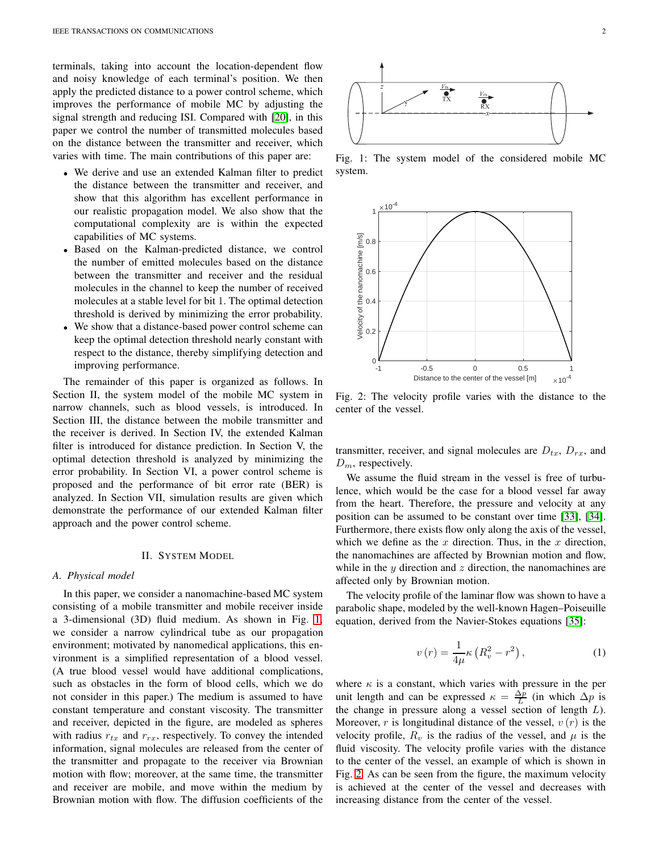terminals, taking into account the location-dependent flow and noisy knowledge of each terminal's position. We then apply the predicted distance to a power control scheme, which improves the performance of mobile MC by adjusting the signal strength and reducing ISI. Compared with [\[20\]](#page-11-18), in this paper we control the number of transmitted molecules based on the distance between the transmitter and receiver, which varies with time. The main contributions of this paper are:

- We derive and use an extended Kalman filter to predict the distance between the transmitter and receiver, and show that this algorithm has excellent performance in our realistic propagation model. We also show that the computational complexity are is within the expected capabilities of MC systems.
- Based on the Kalman-predicted distance, we control the number of emitted molecules based on the distance between the transmitter and receiver and the residual molecules in the channel to keep the number of received molecules at a stable level for bit 1. The optimal detection threshold is derived by minimizing the error probability.
- We show that a distance-based power control scheme can keep the optimal detection threshold nearly constant with respect to the distance, thereby simplifying detection and improving performance.

The remainder of this paper is organized as follows. In Section II, the system model of the mobile MC system in narrow channels, such as blood vessels, is introduced. In Section III, the distance between the mobile transmitter and the receiver is derived. In Section IV, the extended Kalman filter is introduced for distance prediction. In Section V, the optimal detection threshold is analyzed by minimizing the error probability. In Section VI, a power control scheme is proposed and the performance of bit error rate (BER) is analyzed. In Section VII, simulation results are given which demonstrate the performance of our extended Kalman filter approach and the power control scheme.

#### II. SYSTEM MODEL

#### <span id="page-1-3"></span>*A. Physical model*

In this paper, we consider a nanomachine-based MC system consisting of a mobile transmitter and mobile receiver inside a 3-dimensional (3D) fluid medium. As shown in Fig. [1,](#page-1-0) we consider a narrow cylindrical tube as our propagation environment; motivated by nanomedical applications, this environment is a simplified representation of a blood vessel. (A true blood vessel would have additional complications, such as obstacles in the form of blood cells, which we do not consider in this paper.) The medium is assumed to have constant temperature and constant viscosity. The transmitter and receiver, depicted in the figure, are modeled as spheres with radius  $r_{tx}$  and  $r_{rx}$ , respectively. To convey the intended information, signal molecules are released from the center of the transmitter and propagate to the receiver via Brownian motion with flow; moreover, at the same time, the transmitter and receiver are mobile, and move within the medium by Brownian motion with flow. The diffusion coefficients of the

<span id="page-1-0"></span>

Fig. 1: The system model of the considered mobile MC system.

<span id="page-1-1"></span>

Fig. 2: The velocity profile varies with the distance to the center of the vessel.

transmitter, receiver, and signal molecules are  $D_{tx}$ ,  $D_{rx}$ , and  $D_m$ , respectively.

We assume the fluid stream in the vessel is free of turbulence, which would be the case for a blood vessel far away from the heart. Therefore, the pressure and velocity at any position can be assumed to be constant over time [\[33\]](#page-11-31), [\[34\]](#page-11-32). Furthermore, there exists flow only along the axis of the vessel, which we define as the x direction. Thus, in the x direction, the nanomachines are affected by Brownian motion and flow, while in the  $y$  direction and  $z$  direction, the nanomachines are affected only by Brownian motion.

The velocity profile of the laminar flow was shown to have a parabolic shape, modeled by the well-known Hagen–Poiseuille equation, derived from the Navier-Stokes equations [\[35\]](#page-11-33):

<span id="page-1-2"></span>
$$
v(r) = \frac{1}{4\mu} \kappa \left( R_v^2 - r^2 \right),\tag{1}
$$

where  $\kappa$  is a constant, which varies with pressure in the per unit length and can be expressed  $\kappa = \frac{\Delta p}{L}$  (in which  $\Delta p$  is the change in pressure along a vessel section of length  $L$ ). Moreover,  $r$  is longitudinal distance of the vessel,  $v(r)$  is the velocity profile,  $R_v$  is the radius of the vessel, and  $\mu$  is the fluid viscosity. The velocity profile varies with the distance to the center of the vessel, an example of which is shown in Fig. [2.](#page-1-1) As can be seen from the figure, the maximum velocity is achieved at the center of the vessel and decreases with increasing distance from the center of the vessel.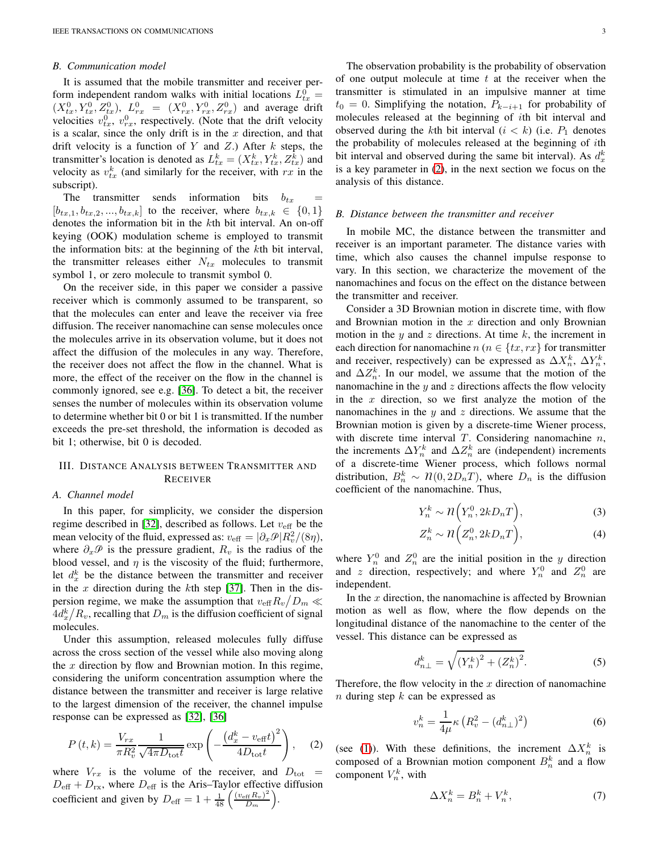## *B. Communication model*

It is assumed that the mobile transmitter and receiver perform independent random walks with initial locations  $L_{tx}^0 =$  $(X_{tx}^0, Y_{tx}^0, Z_{tx}^0), L_{rx}^0 = (X_{rx}^0, Y_{rx}^0, Z_{rx}^0)$  and average drift velocities  $v_{tx}^0$ ,  $v_{rx}^0$ , respectively. (Note that the drift velocity is a scalar, since the only drift is in the  $x$  direction, and that drift velocity is a function of Y and Z.) After  $k$  steps, the transmitter's location is denoted as  $L_{tx}^k = (X_{tx}^k, Y_{tx}^k, Z_{tx}^k)$  and velocity as  $v_{tx}^{k}$  (and similarly for the receiver, with rx in the subscript).

The transmitter sends information bits  $b_{tx}$  $[b_{tx,1}, b_{tx,2}, ..., b_{tx,k}]$  to the receiver, where  $b_{tx,k} \in \{0, 1\}$ denotes the information bit in the kth bit interval. An on-off keying (OOK) modulation scheme is employed to transmit the information bits: at the beginning of the kth bit interval, the transmitter releases either  $N_{tx}$  molecules to transmit symbol 1, or zero molecule to transmit symbol 0.

On the receiver side, in this paper we consider a passive receiver which is commonly assumed to be transparent, so that the molecules can enter and leave the receiver via free diffusion. The receiver nanomachine can sense molecules once the molecules arrive in its observation volume, but it does not affect the diffusion of the molecules in any way. Therefore, the receiver does not affect the flow in the channel. What is more, the effect of the receiver on the flow in the channel is commonly ignored, see e.g. [\[36\]](#page-11-34). To detect a bit, the receiver senses the number of molecules within its observation volume to determine whether bit 0 or bit 1 is transmitted. If the number exceeds the pre-set threshold, the information is decoded as bit 1; otherwise, bit 0 is decoded.

# III. DISTANCE ANALYSIS BETWEEN TRANSMITTER AND RECEIVER

#### *A. Channel model*

In this paper, for simplicity, we consider the dispersion regime described in [\[32\]](#page-11-30), described as follows. Let  $v_{\text{eff}}$  be the mean velocity of the fluid, expressed as:  $v_{\text{eff}} = |\partial_x \mathcal{P}| R_v^2/(8\eta)$ , where  $\partial_x \mathcal{P}$  is the pressure gradient,  $R_v$  is the radius of the blood vessel, and  $\eta$  is the viscosity of the fluid; furthermore, let  $d_x^k$  be the distance between the transmitter and receiver in the x direction during the kth step [\[37\]](#page-12-0). Then in the dispersion regime, we make the assumption that  $v_{\text{eff}}R_v/D_m \ll$  $4d_{x}^{k}/R_{v}$ , recalling that  $D_{m}$  is the diffusion coefficient of signal molecules.

Under this assumption, released molecules fully diffuse across the cross section of the vessel while also moving along the  $x$  direction by flow and Brownian motion. In this regime, considering the uniform concentration assumption where the distance between the transmitter and receiver is large relative to the largest dimension of the receiver, the channel impulse response can be expressed as [\[32\]](#page-11-30), [\[36\]](#page-11-34)

$$
P(t,k) = \frac{V_{rx}}{\pi R_v^2} \frac{1}{\sqrt{4\pi D_{\text{tot}}t}} \exp\left(-\frac{\left(d_x^k - v_{\text{eff}}t\right)^2}{4D_{\text{tot}}t}\right),\tag{2}
$$

where  $V_{rx}$  is the volume of the receiver, and  $D_{\text{tot}}$  =  $D_{\text{eff}} + D_{\text{rx}}$ , where  $D_{\text{eff}}$  is the Aris–Taylor effective diffusion coefficient and given by  $D_{\text{eff}} = 1 + \frac{1}{48} \left( \frac{(v_{\text{eff}} R_v)^2}{D_m} \right)$  $\frac{{\rm ff}\,R_v)^2}{D_m}$ .

The observation probability is the probability of observation of one output molecule at time  $t$  at the receiver when the transmitter is stimulated in an impulsive manner at time  $t_0 = 0$ . Simplifying the notation,  $P_{k-i+1}$  for probability of molecules released at the beginning of ith bit interval and observed during the kth bit interval  $(i < k)$  (i.e.  $P_1$  denotes the probability of molecules released at the beginning of ith bit interval and observed during the same bit interval). As  $d_x^k$ is a key parameter in [\(2\)](#page-2-0), in the next section we focus on the analysis of this distance.

# *B. Distance between the transmitter and receiver*

In mobile MC, the distance between the transmitter and receiver is an important parameter. The distance varies with time, which also causes the channel impulse response to vary. In this section, we characterize the movement of the nanomachines and focus on the effect on the distance between the transmitter and receiver.

Consider a 3D Brownian motion in discrete time, with flow and Brownian motion in the  $x$  direction and only Brownian motion in the y and z directions. At time  $k$ , the increment in each direction for nanomachine  $n (n \in \{tx, rx\}$  for transmitter and receiver, respectively) can be expressed as  $\Delta X_n^k$ ,  $\Delta Y_n^k$ , and  $\Delta Z_n^k$ . In our model, we assume that the motion of the nanomachine in the  $y$  and  $z$  directions affects the flow velocity in the  $x$  direction, so we first analyze the motion of the nanomachines in the  $y$  and  $z$  directions. We assume that the Brownian motion is given by a discrete-time Wiener process, with discrete time interval  $T$ . Considering nanomachine  $n$ , the increments  $\Delta Y_n^k$  and  $\Delta Z_n^k$  are (independent) increments of a discrete-time Wiener process, which follows normal distribution,  $B_n^k \sim \eta(0, 2D_nT)$ , where  $D_n$  is the diffusion coefficient of the nanomachine. Thus,

$$
Y_n^k \sim \mathcal{N}\Big(Y_n^0, 2kD_nT\Big),\tag{3}
$$

$$
Z_n^k \sim \mathcal{N}\Big(Z_n^0, 2kD_nT\Big),\tag{4}
$$

where  $Y_n^0$  and  $Z_n^0$  are the initial position in the y direction and z direction, respectively; and where  $Y_n^0$  and  $Z_n^0$  are independent.

In the  $x$  direction, the nanomachine is affected by Brownian motion as well as flow, where the flow depends on the longitudinal distance of the nanomachine to the center of the vessel. This distance can be expressed as

<span id="page-2-2"></span>
$$
d_{n\perp}^k = \sqrt{\left(Y_n^k\right)^2 + \left(Z_n^k\right)^2}.
$$
 (5)

Therefore, the flow velocity in the  $x$  direction of nanomachine n during step  $k$  can be expressed as

<span id="page-2-1"></span>
$$
v_n^k = \frac{1}{4\mu} \kappa \left( R_v^2 - (d_{n\perp}^k)^2 \right) \tag{6}
$$

<span id="page-2-0"></span>(see [\(1\)](#page-1-2)). With these definitions, the increment  $\Delta X_n^k$  is composed of a Brownian motion component  $B_n^k$  and a flow component  $V_n^k$ , with

<span id="page-2-3"></span>
$$
\Delta X_n^k = B_n^k + V_n^k,\tag{7}
$$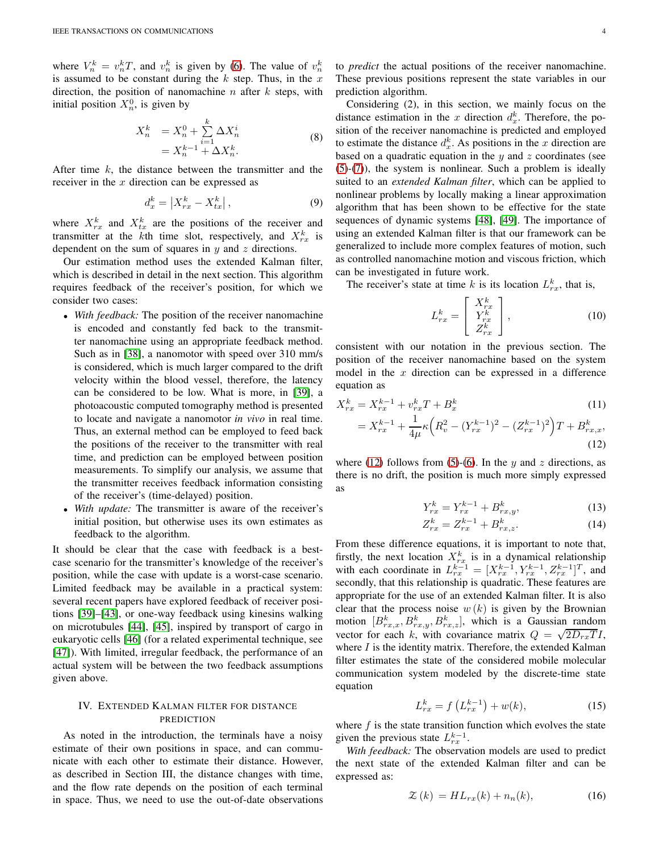where  $V_n^k = v_n^k T$ , and  $v_n^k$  is given by [\(6\)](#page-2-1). The value of  $v_n^k$ is assumed to be constant during the  $k$  step. Thus, in the  $x$ direction, the position of nanomachine  $n$  after  $k$  steps, with initial position  $X_n^0$ , is given by

$$
X_n^k = X_n^0 + \sum_{i=1}^k \Delta X_n^i
$$
  
=  $X_n^{k-1} + \Delta X_n^k$ . (8)

After time  $k$ , the distance between the transmitter and the receiver in the  $x$  direction can be expressed as

$$
d_x^k = \left| X_{rx}^k - X_{tx}^k \right|,\tag{9}
$$

where  $X_{rx}^k$  and  $X_{tx}^k$  are the positions of the receiver and transmitter at the kth time slot, respectively, and  $X_{rx}^{k}$  is dependent on the sum of squares in  $y$  and  $z$  directions.

Our estimation method uses the extended Kalman filter, which is described in detail in the next section. This algorithm requires feedback of the receiver's position, for which we consider two cases:

- *With feedback:* The position of the receiver nanomachine is encoded and constantly fed back to the transmitter nanomachine using an appropriate feedback method. Such as in [\[38\]](#page-12-1), a nanomotor with speed over 310 mm/s is considered, which is much larger compared to the drift velocity within the blood vessel, therefore, the latency can be considered to be low. What is more, in [\[39\]](#page-12-2), a photoacoustic computed tomography method is presented to locate and navigate a nanomotor *in vivo* in real time. Thus, an external method can be employed to feed back the positions of the receiver to the transmitter with real time, and prediction can be employed between position measurements. To simplify our analysis, we assume that the transmitter receives feedback information consisting of the receiver's (time-delayed) position.
- *With update:* The transmitter is aware of the receiver's initial position, but otherwise uses its own estimates as feedback to the algorithm.

It should be clear that the case with feedback is a bestcase scenario for the transmitter's knowledge of the receiver's position, while the case with update is a worst-case scenario. Limited feedback may be available in a practical system: several recent papers have explored feedback of receiver positions [\[39\]](#page-12-2)–[\[43\]](#page-12-3), or one-way feedback using kinesins walking on microtubules [\[44\]](#page-12-4), [\[45\]](#page-12-5), inspired by transport of cargo in eukaryotic cells [\[46\]](#page-12-6) (for a related experimental technique, see [\[47\]](#page-12-7)). With limited, irregular feedback, the performance of an actual system will be between the two feedback assumptions given above.

# IV. EXTENDED KALMAN FILTER FOR DISTANCE PREDICTION

As noted in the introduction, the terminals have a noisy estimate of their own positions in space, and can communicate with each other to estimate their distance. However, as described in Section III, the distance changes with time, and the flow rate depends on the position of each terminal in space. Thus, we need to use the out-of-date observations

to *predict* the actual positions of the receiver nanomachine. These previous positions represent the state variables in our prediction algorithm.

Considering (2), in this section, we mainly focus on the distance estimation in the x direction  $d_x^k$ . Therefore, the position of the receiver nanomachine is predicted and employed to estimate the distance  $d_x^k$ . As positions in the x direction are based on a quadratic equation in the  $y$  and  $z$  coordinates (see [\(5\)](#page-2-2)-[\(7\)](#page-2-3)), the system is nonlinear. Such a problem is ideally suited to an *extended Kalman filter*, which can be applied to nonlinear problems by locally making a linear approximation algorithm that has been shown to be effective for the state sequences of dynamic systems [\[48\]](#page-12-8), [\[49\]](#page-12-9). The importance of using an extended Kalman filter is that our framework can be generalized to include more complex features of motion, such as controlled nanomachine motion and viscous friction, which can be investigated in future work.

The receiver's state at time k is its location  $L_{rx}^k$ , that is,

$$
L_{rx}^k = \begin{bmatrix} X_{rx}^k \\ Y_{rx}^k \\ Z_{rx}^k \end{bmatrix},
$$
 (10)

consistent with our notation in the previous section. The position of the receiver nanomachine based on the system model in the  $x$  direction can be expressed in a difference equation as

$$
X_{rx}^k = X_{rx}^{k-1} + v_{rx}^k T + B_x^k
$$
\n(11)

$$
=X_{rx}^{k-1}+\frac{1}{4\mu}\kappa\Big(R_v^2-(Y_{rx}^{k-1})^2-(Z_{rx}^{k-1})^2\Big)T+B_{rx,x}^k,
$$
\n(12)

where [\(12\)](#page-3-0) follows from [\(5\)](#page-2-2)-[\(6\)](#page-2-1). In the y and z directions, as there is no drift, the position is much more simply expressed as

Z

<span id="page-3-0"></span>
$$
Y_{rx}^k = Y_{rx}^{k-1} + B_{rx,y}^k,\tag{13}
$$

$$
Z_{rx}^k = Z_{rx}^{k-1} + B_{rx,z}^k. \tag{14}
$$

From these difference equations, it is important to note that, firstly, the next location  $X_{rx}^{k}$  is in a dynamical relationship with each coordinate in  $L_{rx}^{k-1} = [X_{rx}^{k-1}, Y_{rx}^{k-1}, Z_{rx}^{k-1}]^T$ , and secondly, that this relationship is quadratic. These features are appropriate for the use of an extended Kalman filter. It is also clear that the process noise  $w(k)$  is given by the Brownian motion  $[B_{rx,x}^k, B_{rx,y}^k, B_{rx,z}^k]$ , which is a Gaussian random vector for each k, with covariance matrix  $Q = \sqrt{2D_{rx}T}I$ , where  $I$  is the identity matrix. Therefore, the extended Kalman filter estimates the state of the considered mobile molecular communication system modeled by the discrete-time state equation

<span id="page-3-1"></span>
$$
L_{rx}^k = f\left(L_{rx}^{k-1}\right) + w(k),\tag{15}
$$

where  $f$  is the state transition function which evolves the state given the previous state  $L_{rx}^{k-1}$ .

*With feedback:* The observation models are used to predict the next state of the extended Kalman filter and can be expressed as:

$$
\mathcal{Z}(k) = HL_{rx}(k) + n_n(k),\tag{16}
$$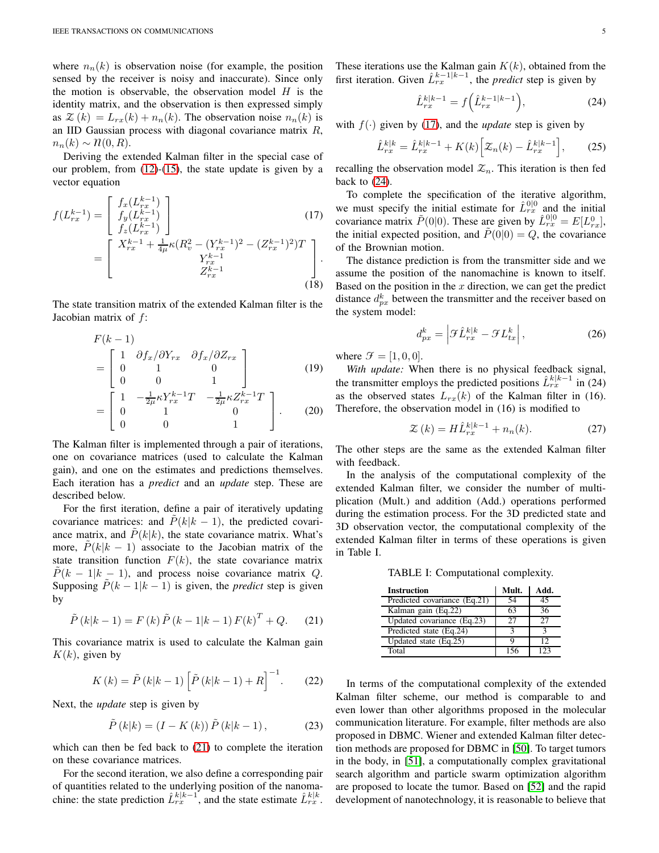where  $n_n(k)$  is observation noise (for example, the position sensed by the receiver is noisy and inaccurate). Since only the motion is observable, the observation model  $H$  is the identity matrix, and the observation is then expressed simply as  $\mathcal{Z}(k) = L_{rx}(k) + n_n(k)$ . The observation noise  $n_n(k)$  is an IID Gaussian process with diagonal covariance matrix  $R$ ,  $n_n(k) \sim \mathcal{N}(0,R).$ 

Deriving the extended Kalman filter in the special case of our problem, from [\(12\)](#page-3-0)-[\(15\)](#page-3-1), the state update is given by a vector equation

$$
f(L_{rx}^{k-1}) = \begin{bmatrix} f_x(L_{rx}^{k-1}) \\ f_y(L_{rx}^{k-1}) \\ f_z(L_{rx}^{k-1}) \end{bmatrix}
$$
(17)  
= 
$$
\begin{bmatrix} X_{rx}^{k-1} + \frac{1}{4\mu} \kappa (R_v^2 - (Y_{rx}^{k-1})^2 - (Z_{rx}^{k-1})^2) T \\ Y_{rx}^{k-1} \\ Z_{rx}^{k-1} \end{bmatrix}.
$$
(18)

The state transition matrix of the extended Kalman filter is the Jacobian matrix of  $f$ :

$$
F(k-1) = \begin{bmatrix} 1 & \partial f_x / \partial Y_{rx} & \partial f_x / \partial Z_{rx} \\ 0 & 1 & 0 \\ 0 & 0 & 1 \end{bmatrix}
$$
 (19)  
= 
$$
\begin{bmatrix} 1 & -\frac{1}{2\mu} \kappa Y_{rx}^{k-1} T & -\frac{1}{2\mu} \kappa Z_{rx}^{k-1} T \\ 0 & 1 & 0 \\ 0 & 0 & 1 \end{bmatrix}
$$
. (20)

The Kalman filter is implemented through a pair of iterations, one on covariance matrices (used to calculate the Kalman gain), and one on the estimates and predictions themselves. Each iteration has a *predict* and an *update* step. These are described below.

For the first iteration, define a pair of iteratively updating covariance matrices: and  $\tilde{P}(k|k-1)$ , the predicted covariance matrix, and  $P(k|k)$ , the state covariance matrix. What's more,  $P(k|k-1)$  associate to the Jacobian matrix of the state transition function  $F(k)$ , the state covariance matrix  $P(k - 1|k - 1)$ , and process noise covariance matrix Q. Supposing  $\tilde{P}(k-1|k-1)$  is given, the *predict* step is given by

$$
\tilde{P}(k|k-1) = F(k)\tilde{P}(k-1|k-1)F(k)^{T} + Q.
$$
 (21)

This covariance matrix is used to calculate the Kalman gain  $K(k)$ , given by

$$
K(k) = \tilde{P}(k|k-1) \left[ \tilde{P}(k|k-1) + R \right]^{-1}.
$$
 (22)

Next, the *update* step is given by

$$
\tilde{P}(k|k) = (I - K(k)) \tilde{P}(k|k - 1),
$$
\n(23)

which can then be fed back to [\(21\)](#page-4-0) to complete the iteration on these covariance matrices.

For the second iteration, we also define a corresponding pair of quantities related to the underlying position of the nanomachine: the state prediction  $\hat{L}_{rx}^{k|k-1}$ , and the state estimate  $\hat{L}_{rx}^{k|k}$ .

These iterations use the Kalman gain  $K(k)$ , obtained from the first iteration. Given  $\hat{L}_{rx}^{k-1|k-1}$ , the *predict* step is given by

<span id="page-4-2"></span>
$$
\hat{L}_{rx}^{k|k-1} = f\left(\hat{L}_{rx}^{k-1|k-1}\right),\tag{24}
$$

with  $f(\cdot)$  given by [\(17\)](#page-4-1), and the *update* step is given by

$$
\hat{L}_{rx}^{k|k} = \hat{L}_{rx}^{k|k-1} + K(k) \Big[ \mathcal{Z}_n(k) - \hat{L}_{rx}^{k|k-1} \Big],\tag{25}
$$

recalling the observation model  $\mathcal{Z}_n$ . This iteration is then fed back to [\(24\)](#page-4-2).

<span id="page-4-1"></span>To complete the specification of the iterative algorithm, we must specify the initial estimate for  $\hat{L}^{0|0}_{rx}$  and the initial covariance matrix  $\tilde{P}(0|0)$ . These are given by  $\hat{L}_{rx}^{0|0} = E[L_{rx}^0]$ , the initial expected position, and  $\tilde{P}(0|0) = Q$ , the covariance of the Brownian motion.

The distance prediction is from the transmitter side and we assume the position of the nanomachine is known to itself. Based on the position in the x direction, we can get the predict distance  $d_{px}^k$  between the transmitter and the receiver based on the system model:

$$
d_{px}^k = \left| \mathcal{F}\hat{L}_{rx}^{k|k} - \mathcal{F}L_{tx}^k \right|,
$$
 (26)

where  $\mathcal{F} = [1, 0, 0].$ 

*With update:* When there is no physical feedback signal, the transmitter employs the predicted positions  $\hat{L}_{rx}^{k|k-1}$  in (24) as the observed states  $L_{rx}(k)$  of the Kalman filter in (16). Therefore, the observation model in (16) is modified to

$$
\mathcal{Z}(k) = H\hat{L}_{rx}^{k|k-1} + n_n(k). \tag{27}
$$

The other steps are the same as the extended Kalman filter with feedback.

In the analysis of the computational complexity of the extended Kalman filter, we consider the number of multiplication (Mult.) and addition (Add.) operations performed during the estimation process. For the 3D predicted state and 3D observation vector, the computational complexity of the extended Kalman filter in terms of these operations is given in Table I.

TABLE I: Computational complexity.

| <b>Instruction</b>           | Mult. | Add. |
|------------------------------|-------|------|
| Predicted covariance (Eq.21) | 54    | 45   |
| Kalman gain (Eq.22)          | 63    | 36   |
| Updated covariance (Eq.23)   | 27    | 77 I |
| Predicted state (Eq.24)      |       |      |
| Updated state (Eq.25)        |       | 12   |
| Total                        | 156   | 123  |

<span id="page-4-0"></span>In terms of the computational complexity of the extended Kalman filter scheme, our method is comparable to and even lower than other algorithms proposed in the molecular communication literature. For example, filter methods are also proposed in DBMC. Wiener and extended Kalman filter detection methods are proposed for DBMC in [\[50\]](#page-12-10). To target tumors in the body, in [\[51\]](#page-12-11), a computationally complex gravitational search algorithm and particle swarm optimization algorithm are proposed to locate the tumor. Based on [\[52\]](#page-12-12) and the rapid development of nanotechnology, it is reasonable to believe that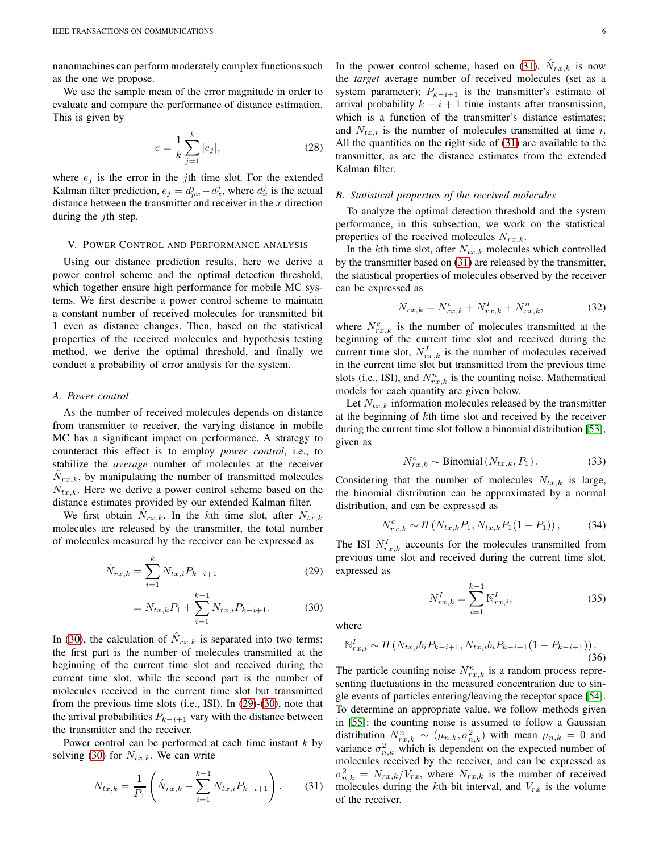nanomachines can perform moderately complex functions such as the one we propose.

We use the sample mean of the error magnitude in order to evaluate and compare the performance of distance estimation. This is given by

$$
e = \frac{1}{k} \sum_{j=1}^{k} |e_j|,
$$
 (28)

where  $e_j$  is the error in the jth time slot. For the extended Kalman filter prediction,  $e_j = d_{px}^j - d_x^j$ , where  $d_x^j$  is the actual distance between the transmitter and receiver in the  $x$  direction during the *j*th step.

#### V. POWER CONTROL AND PERFORMANCE ANALYSIS

Using our distance prediction results, here we derive a power control scheme and the optimal detection threshold, which together ensure high performance for mobile MC systems. We first describe a power control scheme to maintain a constant number of received molecules for transmitted bit 1 even as distance changes. Then, based on the statistical properties of the received molecules and hypothesis testing method, we derive the optimal threshold, and finally we conduct a probability of error analysis for the system.

### *A. Power control*

As the number of received molecules depends on distance from transmitter to receiver, the varying distance in mobile MC has a significant impact on performance. A strategy to counteract this effect is to employ *power control*, i.e., to stabilize the *average* number of molecules at the receiver  $\hat{N}_{rx,k}$ , by manipulating the number of transmitted molecules  $N_{tx,k}$ . Here we derive a power control scheme based on the distance estimates provided by our extended Kalman filter.

We first obtain  $\hat{N}_{rx,k}$ . In the kth time slot, after  $N_{tx,k}$ molecules are released by the transmitter, the total number of molecules measured by the receiver can be expressed as

$$
\hat{N}_{rx,k} = \sum_{i=1}^{k} N_{tx,i} P_{k-i+1}
$$
\n(29)

$$
= N_{tx,k}P_1 + \sum_{i=1}^{k-1} N_{tx,i}P_{k-i+1}.
$$
 (30)

In [\(30\)](#page-5-0), the calculation of  $\hat{N}_{rx,k}$  is separated into two terms: the first part is the number of molecules transmitted at the beginning of the current time slot and received during the current time slot, while the second part is the number of molecules received in the current time slot but transmitted from the previous time slots (i.e., ISI). In [\(29\)](#page-5-1)-[\(30\)](#page-5-0), note that the arrival probabilities  $P_{k-i+1}$  vary with the distance between the transmitter and the receiver.

Power control can be performed at each time instant  $k$  by solving [\(30\)](#page-5-0) for  $N_{tx,k}$ . We can write

$$
N_{tx,k} = \frac{1}{P_1} \left( \hat{N}_{rx,k} - \sum_{i=1}^{k-1} N_{tx,i} P_{k-i+1} \right). \tag{31}
$$

In the power control scheme, based on [\(31\)](#page-5-2),  $\hat{N}_{rx,k}$  is now the *target* average number of received molecules (set as a system parameter);  $P_{k-i+1}$  is the transmitter's estimate of arrival probability  $k - i + 1$  time instants after transmission, which is a function of the transmitter's distance estimates; and  $N_{tx,i}$  is the number of molecules transmitted at time i. All the quantities on the right side of [\(31\)](#page-5-2) are available to the transmitter, as are the distance estimates from the extended Kalman filter.

#### *B. Statistical properties of the received molecules*

To analyze the optimal detection threshold and the system performance, in this subsection, we work on the statistical properties of the received molecules  $N_{rx,k}$ .

In the kth time slot, after  $N_{tx,k}$  molecules which controlled by the transmitter based on [\(31\)](#page-5-2) are released by the transmitter, the statistical properties of molecules observed by the receiver can be expressed as

$$
N_{rx,k} = N_{rx,k}^c + N_{rx,k}^I + N_{rx,k}^n,\tag{32}
$$

where  $N_{rx,k}^c$  is the number of molecules transmitted at the beginning of the current time slot and received during the current time slot,  $N_{rx,k}^I$  is the number of molecules received in the current time slot but transmitted from the previous time slots (i.e., ISI), and  $N_{rx,k}^n$  is the counting noise. Mathematical models for each quantity are given below.

Let  $N_{tx,k}$  information molecules released by the transmitter at the beginning of kth time slot and received by the receiver during the current time slot follow a binomial distribution [\[53\]](#page-12-13), given as

$$
N_{rx,k}^c \sim \text{Binomial}\left(N_{tx,k}, P_1\right). \tag{33}
$$

Considering that the number of molecules  $N_{tx,k}$  is large, the binomial distribution can be approximated by a normal distribution, and can be expressed as

$$
N_{rx,k}^{c} \sim \mathcal{N}\left(N_{tx,k}P_{1}, N_{tx,k}P_{1}(1 - P_{1})\right),\tag{34}
$$

<span id="page-5-1"></span>The ISI  $N_{rx,k}^{I}$  accounts for the molecules transmitted from previous time slot and received during the current time slot, expressed as

$$
N_{rx,k}^I = \sum_{i=1}^{k-1} \mathbb{N}_{rx,i}^I,
$$
\n(35)

<span id="page-5-0"></span>where

$$
\mathbb{N}_{rx,i}^{I} \sim \mathcal{N}\left(N_{tx,i}b_{i}P_{k-i+1}, N_{tx,i}b_{i}P_{k-i+1}(1 - P_{k-i+1})\right). \tag{36}
$$

<span id="page-5-2"></span>The particle counting noise  $N_{rx,k}^n$  is a random process representing fluctuations in the measured concentration due to single events of particles entering/leaving the receptor space [\[54\]](#page-12-14). To determine an appropriate value, we follow methods given in [\[55\]](#page-12-15): the counting noise is assumed to follow a Gaussian distribution  $N_{rx,k}^n \sim (\mu_{n,k}, \sigma_{n,k}^2)$  with mean  $\mu_{n,k} = 0$  and variance  $\sigma_{n,k}^2$  which is dependent on the expected number of molecules received by the receiver, and can be expressed as  $\sigma_{n,k}^2 = N_{rx,k}/V_{rx}$ , where  $N_{rx,k}$  is the number of received molecules during the kth bit interval, and  $V_{rx}$  is the volume of the receiver.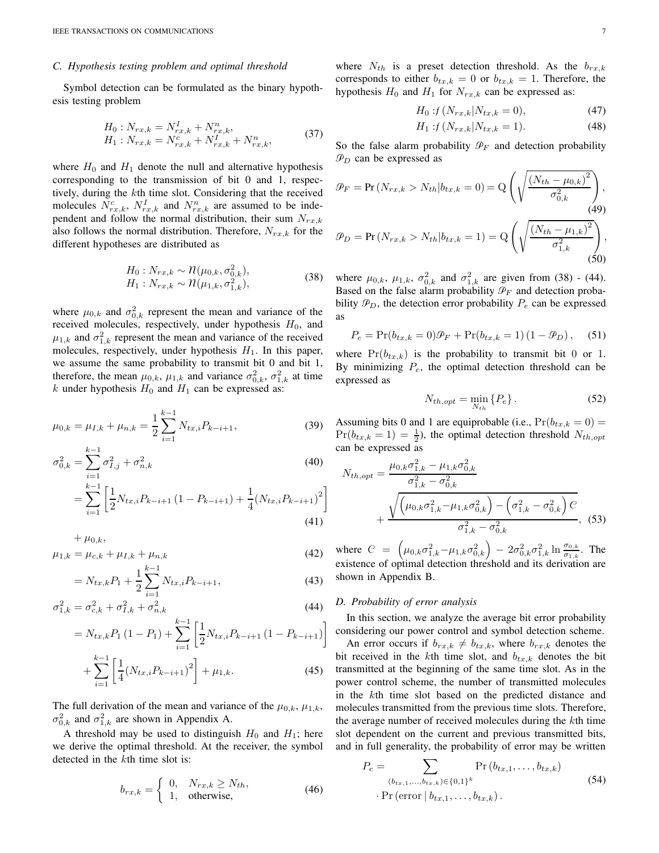# *C. Hypothesis testing problem and optimal threshold*

Symbol detection can be formulated as the binary hypothesis testing problem

$$
H_0: N_{rx,k} = N_{rx,k}^I + N_{rx,k}^n,
$$
  
\n
$$
H_1: N_{rx,k} = N_{rx,k}^c + N_{rx,k}^I + N_{rx,k}^n,
$$
\n(37)

where  $H_0$  and  $H_1$  denote the null and alternative hypothesis corresponding to the transmission of bit 0 and 1, respectively, during the kth time slot. Considering that the received molecules  $N_{rx,k}^c$ ,  $N_{rx,k}^I$  and  $N_{rx,k}^n$  are assumed to be independent and follow the normal distribution, their sum  $N_{rx,k}$ also follows the normal distribution. Therefore,  $N_{rx,k}$  for the different hypotheses are distributed as

$$
H_0: N_{rx,k} \sim \mathcal{N}(\mu_{0,k}, \sigma_{0,k}^2), H_1: N_{rx,k} \sim \mathcal{N}(\mu_{1,k}, \sigma_{1,k}^2),
$$
\n(38)

where  $\mu_{0,k}$  and  $\sigma_{0,k}^2$  represent the mean and variance of the received molecules, respectively, under hypothesis  $H_0$ , and  $\mu_{1,k}$  and  $\sigma_{1,k}^2$  represent the mean and variance of the received molecules, respectively, under hypothesis  $H_1$ . In this paper, we assume the same probability to transmit bit 0 and bit 1, therefore, the mean  $\mu_{0,k}$ ,  $\mu_{1,k}$  and variance  $\sigma_{0,k}^2$ ,  $\sigma_{1,k}^2$  at time k under hypothesis  $H_0$  and  $H_1$  can be expressed as:

$$
\mu_{0,k} = \mu_{I,k} + \mu_{n,k} = \frac{1}{2} \sum_{i=1}^{k-1} N_{tx,i} P_{k-i+1},
$$
\n(39)

$$
\sigma_{0,k}^2 = \sum_{i=1}^{k-1} \sigma_{I,j}^2 + \sigma_{n,k}^2
$$
\n
$$
= \sum_{i=1}^{k-1} \left[ \frac{1}{2} N_{tx,i} P_{k-i+1} \left( 1 - P_{k-i+1} \right) + \frac{1}{4} \left( N_{tx,i} P_{k-i+1} \right)^2 \right]
$$
\n(40)\n  
\n(41)

 $+ \mu_{0,k},$ 

$$
\mu_{1,k} = \mu_{c,k} + \mu_{I,k} + \mu_{n,k} \tag{42}
$$

$$
= N_{tx,k}P_1 + \frac{1}{2}\sum_{i=1}^{k-1} N_{tx,i}P_{k-i+1},
$$
\n(43)

$$
\sigma_{1,k}^2 = \sigma_{c,k}^2 + \sigma_{I,k}^2 + \sigma_{n,k}^2 \tag{44}
$$

$$
= N_{tx,k} P_1 (1 - P_1) + \sum_{i=1}^{k-1} \left[ \frac{1}{2} N_{tx,i} P_{k-i+1} (1 - P_{k-i+1}) \right] + \sum_{i=1}^{k-1} \left[ \frac{1}{4} (N_{tx,i} P_{k-i+1})^2 \right] + \mu_{1,k}.
$$
 (45)

The full derivation of the mean and variance of the  $\mu_{0,k}$ ,  $\mu_{1,k}$ ,  $\sigma_{0,k}^2$  and  $\sigma_{1,k}^2$  are shown in Appendix A.

A threshold may be used to distinguish  $H_0$  and  $H_1$ ; here we derive the optimal threshold. At the receiver, the symbol detected in the kth time slot is:

$$
b_{rx,k} = \begin{cases} 0, & N_{rx,k} \ge N_{th}, \\ 1, & \text{otherwise}, \end{cases}
$$
 (46)

where  $N_{th}$  is a preset detection threshold. As the  $b_{rx,k}$ corresponds to either  $b_{tx,k} = 0$  or  $b_{tx,k} = 1$ . Therefore, the hypothesis  $H_0$  and  $H_1$  for  $N_{rx,k}$  can be expressed as:

$$
H_0: f\left(N_{rx,k}|N_{tx,k}=0\right),\tag{47}
$$

$$
H_1: f\left(N_{rx,k}|N_{tx,k}=1\right). \tag{48}
$$

So the false alarm probability  $\mathcal{P}_F$  and detection probability  $\mathcal{P}_D$  can be expressed as

$$
\mathcal{P}_F = \Pr(N_{rx,k} > N_{th}|b_{tx,k} = 0) = Q\left(\sqrt{\frac{(N_{th} - \mu_{0,k})^2}{\sigma_{0,k}^2}}\right),
$$
\n
$$
\mathcal{P}_D = \Pr(N_{rx,k} > N_{th}|b_{tx,k} = 1) = Q\left(\sqrt{\frac{(N_{th} - \mu_{1,k})^2}{\sigma_{1,k}^2}}\right),
$$
\n(50)

where  $\mu_{0,k}$ ,  $\mu_{1,k}$ ,  $\sigma_{0,k}^2$  and  $\sigma_{1,k}^2$  are given from (38) - (44). Based on the false alarm probability  $\mathcal{P}_F$  and detection probability  $\mathcal{P}_D$ , the detection error probability  $P_e$  can be expressed as

$$
P_e = \Pr(b_{tx,k} = 0)\mathcal{P}_F + \Pr(b_{tx,k} = 1) (1 - \mathcal{P}_D), \quad (51)
$$

where  $Pr(b_{tx,k})$  is the probability to transmit bit 0 or 1. By minimizing  $P_e$ , the optimal detection threshold can be expressed as

$$
N_{th,opt} = \min_{N_{th}} \{P_e\}.
$$
 (52)

Assuming bits 0 and 1 are equiprobable (i.e.,  $Pr(b_{tx,k} = 0)$ ) =  $Pr(b_{tx,k} = 1) = \frac{1}{2}$ , the optimal detection threshold  $N_{th,opt}$ can be expressed as

$$
N_{th,opt} = \frac{\mu_{0,k}\sigma_{1,k}^2 - \mu_{1,k}\sigma_{0,k}^2}{\sigma_{1,k}^2 - \sigma_{0,k}^2} + \frac{\sqrt{\left(\mu_{0,k}\sigma_{1,k}^2 - \mu_{1,k}\sigma_{0,k}^2\right) - \left(\sigma_{1,k}^2 - \sigma_{0,k}^2\right)C}}{\sigma_{1,k}^2 - \sigma_{0,k}^2},
$$
(53)

where  $C = \left(\mu_{0,k}\sigma_{1,k}^2 - \mu_{1,k}\sigma_{0,k}^2\right) - 2\sigma_{0,k}^2\sigma_{1,k}^2 \ln \frac{\sigma_{0,k}}{\sigma_{1,k}}$ . The existence of optimal detection threshold and its derivation are shown in Appendix B.

# *D. Probability of error analysis*

In this section, we analyze the average bit error probability considering our power control and symbol detection scheme.

An error occurs if  $b_{rx,k} \neq b_{tx,k}$ , where  $b_{rx,k}$  denotes the bit received in the kth time slot, and  $b_{tx,k}$  denotes the bit transmitted at the beginning of the same time slot. As in the power control scheme, the number of transmitted molecules in the kth time slot based on the predicted distance and molecules transmitted from the previous time slots. Therefore, the average number of received molecules during the kth time slot dependent on the current and previous transmitted bits, and in full generality, the probability of error may be written

<span id="page-6-0"></span>
$$
P_e = \sum_{(b_{tx,1},...,b_{tx,k}) \in \{0,1\}^k} \Pr(b_{tx,1},...,b_{tx,k})
$$
  
• 
$$
\Pr(\text{error} | b_{tx,1},...,b_{tx,k}).
$$
 (54)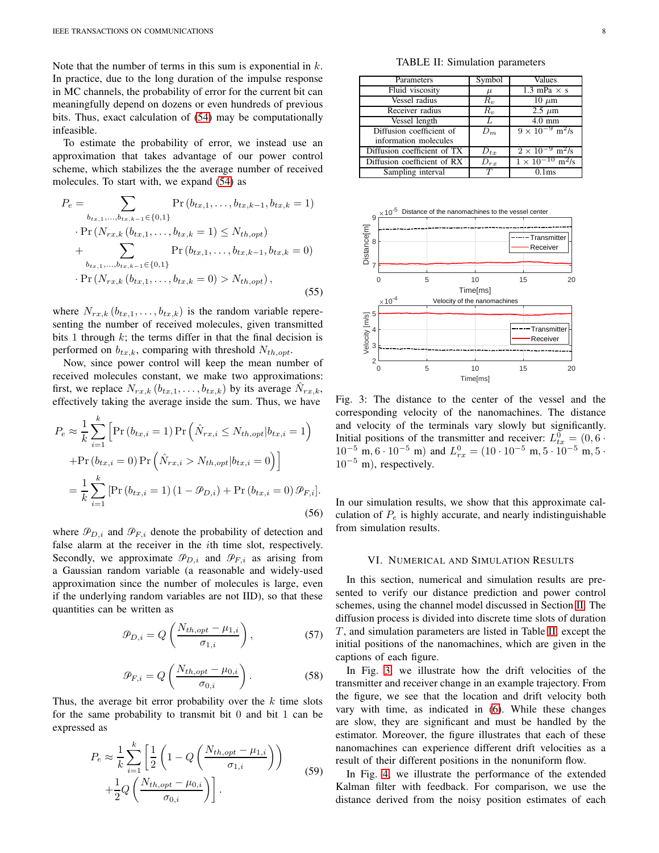Note that the number of terms in this sum is exponential in  $k$ . In practice, due to the long duration of the impulse response in MC channels, the probability of error for the current bit can meaningfully depend on dozens or even hundreds of previous bits. Thus, exact calculation of [\(54\)](#page-6-0) may be computationally infeasible.

To estimate the probability of error, we instead use an approximation that takes advantage of our power control scheme, which stabilizes the the average number of received molecules. To start with, we expand [\(54\)](#page-6-0) as

$$
P_e = \sum_{b_{tx,1},...,b_{tx,k-1} \in \{0,1\}} \Pr(b_{tx,1},...,b_{tx,k-1},b_{tx,k} = 1)
$$
  
\n
$$
\cdot \Pr(N_{rx,k}(b_{tx,1},...,b_{tx,k} = 1) \le N_{th,opt})
$$
  
\n
$$
+ \sum_{b_{tx,1},...,b_{tx,k-1} \in \{0,1\}} \Pr(b_{tx,1},...,b_{tx,k-1},b_{tx,k} = 0)
$$
  
\n
$$
\cdot \Pr(N_{rx,k}(b_{tx,1},...,b_{tx,k} = 0) > N_{th,opt}),
$$
\n(55)

where  $N_{rx,k}$   $(b_{tx,1}, \ldots, b_{tx,k})$  is the random variable reperesenting the number of received molecules, given transmitted bits 1 through  $k$ ; the terms differ in that the final decision is performed on  $b_{tx,k}$ , comparing with threshold  $N_{th,opt}$ .

Now, since power control will keep the mean number of received molecules constant, we make two approximations: first, we replace  $N_{rx,k}$   $(b_{tx,1}, \ldots, b_{tx,k})$  by its average  $\hat{N}_{rx,k}$ , effectively taking the average inside the sum. Thus, we have

$$
P_e \approx \frac{1}{k} \sum_{i=1}^k \left[ \Pr\left(b_{tx,i} = 1\right) \Pr\left(\hat{N}_{rx,i} \le N_{th,opt}|b_{tx,i} = 1\right) \right]
$$
  
+ 
$$
\Pr\left(b_{tx,i} = 0\right) \Pr\left(\hat{N}_{rx,i} > N_{th,opt}|b_{tx,i} = 0\right) \right]
$$
  
= 
$$
\frac{1}{k} \sum_{i=1}^k \left[ \Pr\left(b_{tx,i} = 1\right) (1 - \mathcal{P}_{D,i}) + \Pr\left(b_{tx,i} = 0\right) \mathcal{P}_{F,i} \right].
$$
 (56)

where  $\mathcal{P}_{D,i}$  and  $\mathcal{P}_{F,i}$  denote the probability of detection and false alarm at the receiver in the ith time slot, respectively. Secondly, we approximate  $\mathcal{P}_{D,i}$  and  $\mathcal{P}_{F,i}$  as arising from a Gaussian random variable (a reasonable and widely-used approximation since the number of molecules is large, even if the underlying random variables are not IID), so that these quantities can be written as

$$
\mathcal{P}_{D,i} = Q\left(\frac{N_{th,opt} - \mu_{1,i}}{\sigma_{1,i}}\right),\tag{57}
$$

$$
\mathcal{P}_{F,i} = Q\left(\frac{N_{th,opt} - \mu_{0,i}}{\sigma_{0,i}}\right). \tag{58}
$$

Thus, the average bit error probability over the  $k$  time slots for the same probability to transmit bit 0 and bit 1 can be expressed as

$$
P_e \approx \frac{1}{k} \sum_{i=1}^k \left[ \frac{1}{2} \left( 1 - Q \left( \frac{N_{th,opt} - \mu_{1,i}}{\sigma_{1,i}} \right) \right) + \frac{1}{2} Q \left( \frac{N_{th,opt} - \mu_{0,i}}{\sigma_{0,i}} \right) \right].
$$
\n(59)

TABLE II: Simulation parameters

<span id="page-7-0"></span>

| Parameters                  | Symbol   | Values                                |
|-----------------------------|----------|---------------------------------------|
| Fluid viscosity             | $\mu$    | 1.3 mPa $\times$ s                    |
| Vessel radius               | $R_v$    | $10 \mu m$                            |
| Receiver radius             | $R_v$    | $2.5 \mu m$                           |
| Vessel length               | L        | $4.0 \text{ mm}$                      |
| Diffusion coefficient of    | $D_m$    | $9 \times 10^{-9}$ m <sup>2</sup> /s  |
| information molecules       |          |                                       |
| Diffusion coefficient of TX | $D_{tx}$ | $2 \times 10^{-9}$ m <sup>2</sup> /s  |
| Diffusion coefficient of RX | $D_{rr}$ | $1 \times 10^{-10}$ m <sup>2</sup> /s |
| Sampling interval           | T        | 0.1 <sub>ms</sub>                     |

<span id="page-7-1"></span>

Fig. 3: The distance to the center of the vessel and the corresponding velocity of the nanomachines. The distance and velocity of the terminals vary slowly but significantly. Initial positions of the transmitter and receiver:  $L_{tx}^0 = (0, 6 \cdot$  $10^{-5}$  m,  $6 \cdot 10^{-5}$  m) and  $L_{rx}^0 = (10 \cdot 10^{-5}$  m,  $5 \cdot 10^{-5}$  m,  $5 \cdot$ 10−<sup>5</sup> m), respectively.

In our simulation results, we show that this approximate calculation of  $P_e$  is highly accurate, and nearly indistinguishable from simulation results.

# VI. NUMERICAL AND SIMULATION RESULTS

In this section, numerical and simulation results are presented to verify our distance prediction and power control schemes, using the channel model discussed in Section [II.](#page-1-3) The diffusion process is divided into discrete time slots of duration  $T$ , and simulation parameters are listed in Table [II,](#page-7-0) except the initial positions of the nanomachines, which are given in the captions of each figure.

In Fig. [3,](#page-7-1) we illustrate how the drift velocities of the transmitter and receiver change in an example trajectory. From the figure, we see that the location and drift velocity both vary with time, as indicated in [\(6\)](#page-2-1). While these changes are slow, they are significant and must be handled by the estimator. Moreover, the figure illustrates that each of these nanomachines can experience different drift velocities as a result of their different positions in the nonuniform flow.

In Fig. [4,](#page-8-0) we illustrate the performance of the extended Kalman filter with feedback. For comparison, we use the distance derived from the noisy position estimates of each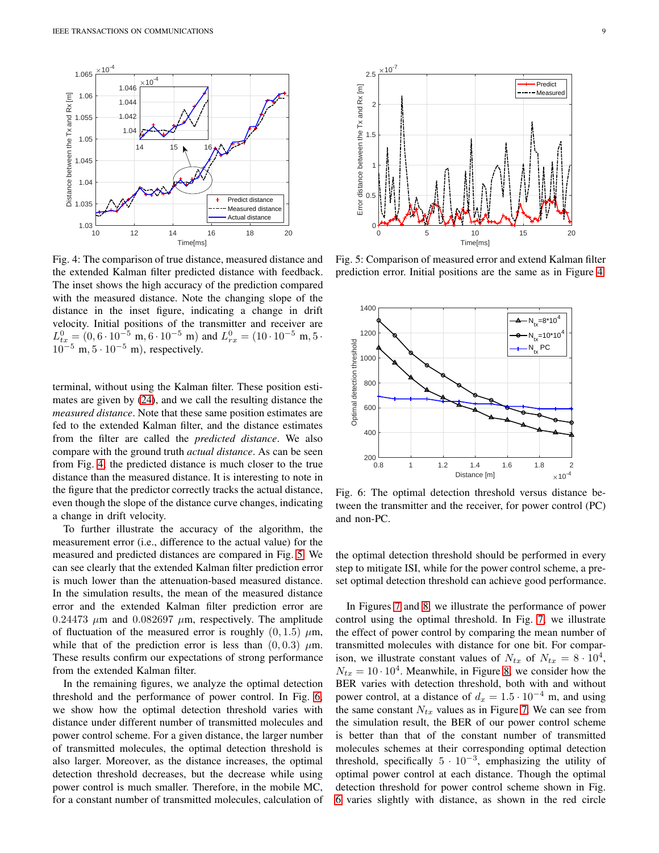<span id="page-8-0"></span>

Fig. 4: The comparison of true distance, measured distance and the extended Kalman filter predicted distance with feedback. The inset shows the high accuracy of the prediction compared with the measured distance. Note the changing slope of the distance in the inset figure, indicating a change in drift velocity. Initial positions of the transmitter and receiver are  $L_{tx}^0 = (0, 6 \cdot 10^{-5} \text{ m}, 6 \cdot 10^{-5} \text{ m})$  and  $L_{rx}^0 = (10 \cdot 10^{-5} \text{ m}, 5 \cdot \text{m})$  $10^{-5}$  m,  $5 \cdot 10^{-5}$  m), respectively.

terminal, without using the Kalman filter. These position estimates are given by [\(24\)](#page-4-2), and we call the resulting distance the *measured distance*. Note that these same position estimates are fed to the extended Kalman filter, and the distance estimates from the filter are called the *predicted distance*. We also compare with the ground truth *actual distance*. As can be seen from Fig. [4,](#page-8-0) the predicted distance is much closer to the true distance than the measured distance. It is interesting to note in the figure that the predictor correctly tracks the actual distance, even though the slope of the distance curve changes, indicating a change in drift velocity.

To further illustrate the accuracy of the algorithm, the measurement error (i.e., difference to the actual value) for the measured and predicted distances are compared in Fig. [5.](#page-8-1) We can see clearly that the extended Kalman filter prediction error is much lower than the attenuation-based measured distance. In the simulation results, the mean of the measured distance error and the extended Kalman filter prediction error are 0.24473  $\mu$ m and 0.082697  $\mu$ m, respectively. The amplitude of fluctuation of the measured error is roughly  $(0, 1.5)$   $\mu$ m, while that of the prediction error is less than  $(0, 0.3)$   $\mu$ m. These results confirm our expectations of strong performance from the extended Kalman filter.

In the remaining figures, we analyze the optimal detection threshold and the performance of power control. In Fig. [6,](#page-8-2) we show how the optimal detection threshold varies with distance under different number of transmitted molecules and power control scheme. For a given distance, the larger number of transmitted molecules, the optimal detection threshold is also larger. Moreover, as the distance increases, the optimal detection threshold decreases, but the decrease while using power control is much smaller. Therefore, in the mobile MC, for a constant number of transmitted molecules, calculation of

<span id="page-8-1"></span>

Fig. 5: Comparison of measured error and extend Kalman filter prediction error. Initial positions are the same as in Figure [4.](#page-8-0)

<span id="page-8-2"></span>

Fig. 6: The optimal detection threshold versus distance between the transmitter and the receiver, for power control (PC) and non-PC.

the optimal detection threshold should be performed in every step to mitigate ISI, while for the power control scheme, a preset optimal detection threshold can achieve good performance.

In Figures [7](#page-9-0) and [8,](#page-9-1) we illustrate the performance of power control using the optimal threshold. In Fig. [7,](#page-9-0) we illustrate the effect of power control by comparing the mean number of transmitted molecules with distance for one bit. For comparison, we illustrate constant values of  $N_{tx}$  of  $N_{tx} = 8 \cdot 10^4$ ,  $N_{tx} = 10 \cdot 10^4$ . Meanwhile, in Figure [8,](#page-9-1) we consider how the BER varies with detection threshold, both with and without power control, at a distance of  $d_x = 1.5 \cdot 10^{-4}$  m, and using the same constant  $N_{tx}$  values as in Figure [7.](#page-9-0) We can see from the simulation result, the BER of our power control scheme is better than that of the constant number of transmitted molecules schemes at their corresponding optimal detection threshold, specifically  $5 \cdot 10^{-3}$ , emphasizing the utility of optimal power control at each distance. Though the optimal detection threshold for power control scheme shown in Fig. [6](#page-8-2) varies slightly with distance, as shown in the red circle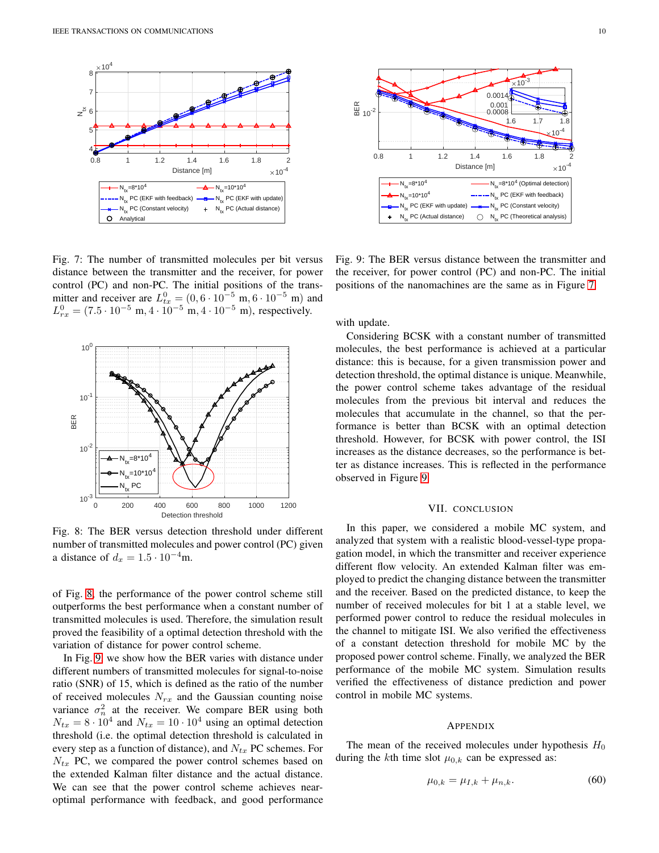<span id="page-9-0"></span>

Fig. 7: The number of transmitted molecules per bit versus distance between the transmitter and the receiver, for power control (PC) and non-PC. The initial positions of the transmitter and receiver are  $L_{tx}^0 = (0, 6 \cdot 10^{-5} \text{ m}, 6 \cdot 10^{-5} \text{ m})$  and  $L_{rx}^0 = (7.5 \cdot 10^{-5} \text{ m}, 4 \cdot 10^{-5} \text{ m}, 4 \cdot 10^{-5} \text{ m})$ , respectively.

<span id="page-9-1"></span>

Fig. 8: The BER versus detection threshold under different number of transmitted molecules and power control (PC) given a distance of  $d_x = 1.5 \cdot 10^{-4}$ m.

of Fig. [8,](#page-9-1) the performance of the power control scheme still outperforms the best performance when a constant number of transmitted molecules is used. Therefore, the simulation result proved the feasibility of a optimal detection threshold with the variation of distance for power control scheme.

In Fig. [9,](#page-9-2) we show how the BER varies with distance under different numbers of transmitted molecules for signal-to-noise ratio (SNR) of 15, which is defined as the ratio of the number of received molecules  $N_{rx}$  and the Gaussian counting noise variance  $\sigma_n^2$  at the receiver. We compare BER using both  $N_{tx} = 8 \cdot 10^4$  and  $N_{tx} = 10 \cdot 10^4$  using an optimal detection threshold (i.e. the optimal detection threshold is calculated in every step as a function of distance), and  $N_{tx}$  PC schemes. For  $N_{tx}$  PC, we compared the power control schemes based on the extended Kalman filter distance and the actual distance. We can see that the power control scheme achieves nearoptimal performance with feedback, and good performance

<span id="page-9-2"></span>

Fig. 9: The BER versus distance between the transmitter and the receiver, for power control (PC) and non-PC. The initial positions of the nanomachines are the same as in Figure [7.](#page-9-0)

with update.

Considering BCSK with a constant number of transmitted molecules, the best performance is achieved at a particular distance: this is because, for a given transmission power and detection threshold, the optimal distance is unique. Meanwhile, the power control scheme takes advantage of the residual molecules from the previous bit interval and reduces the molecules that accumulate in the channel, so that the performance is better than BCSK with an optimal detection threshold. However, for BCSK with power control, the ISI increases as the distance decreases, so the performance is better as distance increases. This is reflected in the performance observed in Figure [9.](#page-9-2)

#### VII. CONCLUSION

In this paper, we considered a mobile MC system, and analyzed that system with a realistic blood-vessel-type propagation model, in which the transmitter and receiver experience different flow velocity. An extended Kalman filter was employed to predict the changing distance between the transmitter and the receiver. Based on the predicted distance, to keep the number of received molecules for bit 1 at a stable level, we performed power control to reduce the residual molecules in the channel to mitigate ISI. We also verified the effectiveness of a constant detection threshold for mobile MC by the proposed power control scheme. Finally, we analyzed the BER performance of the mobile MC system. Simulation results verified the effectiveness of distance prediction and power control in mobile MC systems.

#### <span id="page-9-3"></span>APPENDIX

The mean of the received molecules under hypothesis  $H_0$ during the kth time slot  $\mu_{0,k}$  can be expressed as:

$$
\mu_{0,k} = \mu_{I,k} + \mu_{n,k}.\tag{60}
$$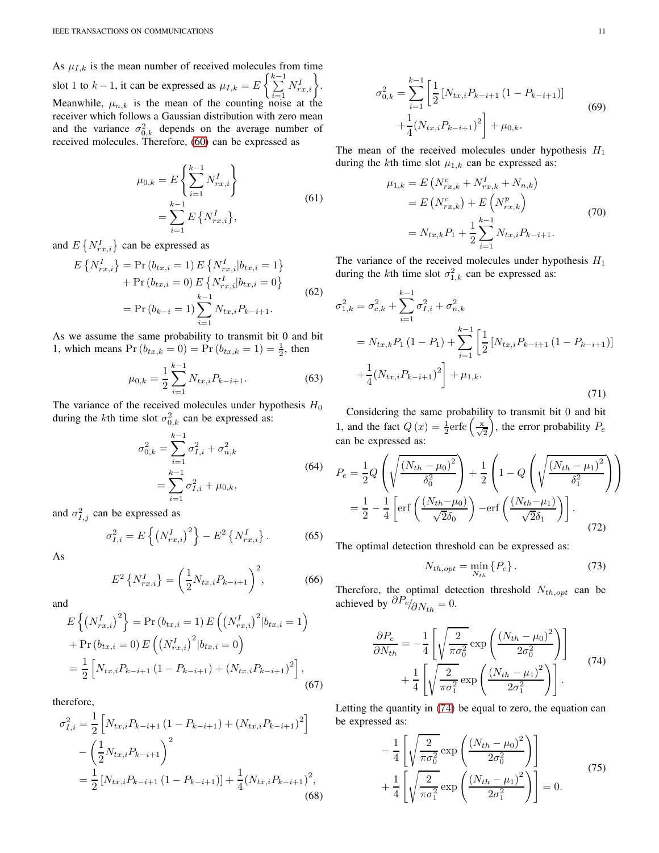As  $\mu_{I,k}$  is the mean number of received molecules from time slot 1 to  $k-1$ , it can be expressed as  $\mu_{I,k} = E\left\{\sum_{i=1}^{k-1} \right\}$  $i=1$  $N^I_{rx,i}$ Meanwhile,  $\mu_{n,k}$  is the mean of the counting noise at the receiver which follows a Gaussian distribution with zero mean and the variance  $\sigma_{0,k}^2$  depends on the average number of received molecules. Therefore, [\(60\)](#page-9-3) can be expressed as

$$
\mu_{0,k} = E\left\{\sum_{i=1}^{k-1} N_{rx,i}^I\right\}
$$
  
= 
$$
\sum_{i=1}^{k-1} E\left\{N_{rx,i}^I\right\},
$$
 (61)

and  $E\left\{N_{rx,i}^I\right\}$  can be expressed as

$$
E\left\{N_{rx,i}^{I}\right\} = \Pr\left(b_{tx,i} = 1\right)E\left\{N_{rx,i}^{I}|b_{tx,i} = 1\right\} + \Pr\left(b_{tx,i} = 0\right)E\left\{N_{rx,i}^{I}|b_{tx,i} = 0\right\} = \Pr\left(b_{k-i} = 1\right)\sum_{i=1}^{k-1} N_{tx,i}P_{k-i+1}.
$$
\n(62)

As we assume the same probability to transmit bit 0 and bit 1, which means  $Pr(b_{tx,k} = 0) = Pr(b_{tx,k} = 1) = \frac{1}{2}$ , then

$$
\mu_{0,k} = \frac{1}{2} \sum_{i=1}^{k-1} N_{tx,i} P_{k-i+1}.
$$
 (63)

The variance of the received molecules under hypothesis  $H_0$ during the *k*th time slot  $\sigma_{0,k}^2$  can be expressed as:

$$
\sigma_{0,k}^2 = \sum_{i=1}^{k-1} \sigma_{I,i}^2 + \sigma_{n,k}^2
$$
  
= 
$$
\sum_{i=1}^{k-1} \sigma_{I,i}^2 + \mu_{0,k},
$$
 (64)

and  $\sigma_{I,j}^2$  can be expressed as

$$
\sigma_{I,i}^2 = E\left\{ \left( N_{rx,i}^I \right)^2 \right\} - E^2 \left\{ N_{rx,i}^I \right\}.
$$
 (65)

As

$$
E^2\left\{N_{rx,i}^I\right\} = \left(\frac{1}{2}N_{tx,i}P_{k-i+1}\right)^2,\tag{66}
$$

and

$$
E\left\{ \left( N_{rx,i}^I \right)^2 \right\} = \Pr\left(b_{tx,i} = 1\right) E\left( \left( N_{rx,i}^I \right)^2 | b_{tx,i} = 1 \right) + \Pr\left(b_{tx,i} = 0\right) E\left( \left( N_{rx,i}^I \right)^2 | b_{tx,i} = 0 \right) = \frac{1}{2} \left[ N_{tx,i} P_{k-i+1} \left( 1 - P_{k-i+1} \right) + \left( N_{tx,i} P_{k-i+1} \right)^2 \right],
$$
(67)

therefore,

$$
\sigma_{I,i}^2 = \frac{1}{2} \left[ N_{tx,i} P_{k-i+1} \left( 1 - P_{k-i+1} \right) + \left( N_{tx,i} P_{k-i+1} \right)^2 \right] \n- \left( \frac{1}{2} N_{tx,i} P_{k-i+1} \right)^2 \n= \frac{1}{2} \left[ N_{tx,i} P_{k-i+1} \left( 1 - P_{k-i+1} \right) \right] + \frac{1}{4} \left( N_{tx,i} P_{k-i+1} \right)^2,
$$
\n(68)

$$
\sigma_{0,k}^2 = \sum_{i=1}^{k-1} \left[ \frac{1}{2} \left[ N_{tx,i} P_{k-i+1} \left( 1 - P_{k-i+1} \right) \right] + \frac{1}{4} \left( N_{tx,i} P_{k-i+1} \right)^2 \right] + \mu_{0,k}.
$$
\n
$$
(69)
$$

The mean of the received molecules under hypothesis  $H_1$ during the kth time slot  $\mu_{1,k}$  can be expressed as:

$$
\mu_{1,k} = E\left(N_{rx,k}^c + N_{rx,k}^I + N_{n,k}\right)
$$
  
=  $E\left(N_{rx,k}^c\right) + E\left(N_{rx,k}^p\right)$   
=  $N_{tx,k}P_1 + \frac{1}{2}\sum_{i=1}^{k-1} N_{tx,i}P_{k-i+1}.$  (70)

The variance of the received molecules under hypothesis  $H_1$ during the *k*th time slot  $\sigma_{1,k}^2$  can be expressed as:

$$
\sigma_{1,k}^{2} = \sigma_{c,k}^{2} + \sum_{i=1}^{k-1} \sigma_{1,i}^{2} + \sigma_{n,k}^{2}
$$
\n
$$
= N_{tx,k} P_{1} (1 - P_{1}) + \sum_{i=1}^{k-1} \left[ \frac{1}{2} \left[ N_{tx,i} P_{k-i+1} (1 - P_{k-i+1}) \right] + \frac{1}{4} (N_{tx,i} P_{k-i+1})^{2} \right] + \mu_{1,k}.
$$
\n(71)

Considering the same probability to transmit bit 0 and bit 1, and the fact  $Q(x) = \frac{1}{2} \text{erfc}\left(\frac{x}{\sqrt{2}}\right)$ , the error probability  $P_e$ can be expressed as:

$$
P_e = \frac{1}{2} Q \left( \sqrt{\frac{(N_{th} - \mu_0)^2}{\delta_0^2}} \right) + \frac{1}{2} \left( 1 - Q \left( \sqrt{\frac{(N_{th} - \mu_1)^2}{\delta_1^2}} \right) \right)
$$
  
=  $\frac{1}{2} - \frac{1}{4} \left[ erf \left( \frac{(N_{th} - \mu_0)}{\sqrt{2} \delta_0} \right) - erf \left( \frac{(N_{th} - \mu_1)}{\sqrt{2} \delta_1} \right) \right].$  (72)

The optimal detection threshold can be expressed as:

<span id="page-10-0"></span>
$$
N_{th,opt} = \min_{N_{th}} \{P_e\} \,. \tag{73}
$$

Therefore, the optimal detection threshold  $N_{th,opt}$  can be achieved by  $\partial P_{e}/\partial N_{th} = 0$ .

$$
\frac{\partial P_e}{\partial N_{th}} = -\frac{1}{4} \left[ \sqrt{\frac{2}{\pi \sigma_0^2}} \exp\left(\frac{\left(N_{th} - \mu_0\right)^2}{2\sigma_0^2}\right) \right] + \frac{1}{4} \left[ \sqrt{\frac{2}{\pi \sigma_1^2}} \exp\left(\frac{\left(N_{th} - \mu_1\right)^2}{2\sigma_1^2}\right) \right].
$$
\n(74)

Letting the quantity in [\(74\)](#page-10-0) be equal to zero, the equation can be expressed as:

<span id="page-10-1"></span>
$$
-\frac{1}{4} \left[ \sqrt{\frac{2}{\pi \sigma_0^2}} \exp \left( \frac{(N_{th} - \mu_0)^2}{2 \sigma_0^2} \right) \right] + \frac{1}{4} \left[ \sqrt{\frac{2}{\pi \sigma_1^2}} \exp \left( \frac{(N_{th} - \mu_1)^2}{2 \sigma_1^2} \right) \right] = 0.
$$
 (75)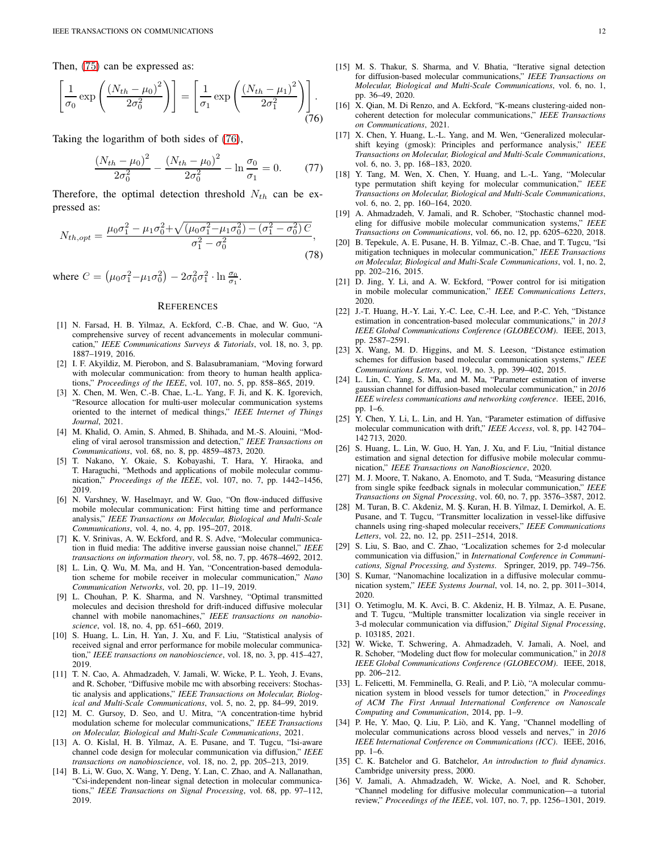Then, [\(75\)](#page-10-1) can be expressed as:

$$
\left[\frac{1}{\sigma_0} \exp\left(\frac{(N_{th} - \mu_0)^2}{2\sigma_0^2}\right)\right] = \left[\frac{1}{\sigma_1} \exp\left(\frac{(N_{th} - \mu_1)^2}{2\sigma_1^2}\right)\right].
$$
\n(76)

Taking the logarithm of both sides of [\(76\)](#page-11-35),

$$
\frac{(N_{th} - \mu_0)^2}{2\sigma_0^2} - \frac{(N_{th} - \mu_0)^2}{2\sigma_0^2} - \ln \frac{\sigma_0}{\sigma_1} = 0. \tag{77}
$$

Therefore, the optimal detection threshold  $N_{th}$  can be expressed as:

$$
N_{th,opt} = \frac{\mu_0 \sigma_1^2 - \mu_1 \sigma_0^2 + \sqrt{(\mu_0 \sigma_1^2 - \mu_1 \sigma_0^2) - (\sigma_1^2 - \sigma_0^2) C}}{\sigma_1^2 - \sigma_0^2},
$$
\n(78)

where  $C = (\mu_0 \sigma_1^2 - \mu_1 \sigma_0^2) - 2\sigma_0^2 \sigma_1^2 \cdot \ln \frac{\sigma_0}{\sigma_1}$ .

#### **REFERENCES**

- <span id="page-11-0"></span>[1] N. Farsad, H. B. Yilmaz, A. Eckford, C.-B. Chae, and W. Guo, "A comprehensive survey of recent advancements in molecular communication," *IEEE Communications Surveys & Tutorials*, vol. 18, no. 3, pp. 1887–1919, 2016.
- <span id="page-11-1"></span>[2] I. F. Akyildiz, M. Pierobon, and S. Balasubramaniam, "Moving forward with molecular communication: from theory to human health applications," *Proceedings of the IEEE*, vol. 107, no. 5, pp. 858–865, 2019.
- <span id="page-11-2"></span>[3] X. Chen, M. Wen, C.-B. Chae, L.-L. Yang, F. Ji, and K. K. Igorevich, "Resource allocation for multi-user molecular communication systems oriented to the internet of medical things," *IEEE Internet of Things Journal*, 2021.
- <span id="page-11-3"></span>[4] M. Khalid, O. Amin, S. Ahmed, B. Shihada, and M.-S. Alouini, "Modeling of viral aerosol transmission and detection," *IEEE Transactions on Communications*, vol. 68, no. 8, pp. 4859–4873, 2020.
- <span id="page-11-4"></span>[5] T. Nakano, Y. Okaie, S. Kobayashi, T. Hara, Y. Hiraoka, and T. Haraguchi, "Methods and applications of mobile molecular communication," *Proceedings of the IEEE*, vol. 107, no. 7, pp. 1442–1456, 2019.
- <span id="page-11-5"></span>[6] N. Varshney, W. Haselmayr, and W. Guo, "On flow-induced diffusive mobile molecular communication: First hitting time and performance analysis," *IEEE Transactions on Molecular, Biological and Multi-Scale Communications*, vol. 4, no. 4, pp. 195–207, 2018.
- <span id="page-11-6"></span>[7] K. V. Srinivas, A. W. Eckford, and R. S. Adve, "Molecular communication in fluid media: The additive inverse gaussian noise channel," *IEEE transactions on information theory*, vol. 58, no. 7, pp. 4678–4692, 2012.
- <span id="page-11-7"></span>[8] L. Lin, Q. Wu, M. Ma, and H. Yan, "Concentration-based demodulation scheme for mobile receiver in molecular communication," *Nano Communication Networks*, vol. 20, pp. 11–19, 2019.
- <span id="page-11-8"></span>[9] L. Chouhan, P. K. Sharma, and N. Varshney, "Optimal transmitted molecules and decision threshold for drift-induced diffusive molecular channel with mobile nanomachines," *IEEE transactions on nanobioscience*, vol. 18, no. 4, pp. 651–660, 2019.
- <span id="page-11-9"></span>[10] S. Huang, L. Lin, H. Yan, J. Xu, and F. Liu, "Statistical analysis of received signal and error performance for mobile molecular communication," *IEEE transactions on nanobioscience*, vol. 18, no. 3, pp. 415–427, 2019.
- <span id="page-11-10"></span>[11] T. N. Cao, A. Ahmadzadeh, V. Jamali, W. Wicke, P. L. Yeoh, J. Evans, and R. Schober, "Diffusive mobile mc with absorbing receivers: Stochastic analysis and applications," *IEEE Transactions on Molecular, Biological and Multi-Scale Communications*, vol. 5, no. 2, pp. 84–99, 2019.
- <span id="page-11-11"></span>[12] M. C. Gursoy, D. Seo, and U. Mitra, "A concentration-time hybrid modulation scheme for molecular communications," *IEEE Transactions on Molecular, Biological and Multi-Scale Communications*, 2021.
- <span id="page-11-12"></span>[13] A. O. Kislal, H. B. Yilmaz, A. E. Pusane, and T. Tugcu, "Isi-aware channel code design for molecular communication via diffusion," *IEEE transactions on nanobioscience*, vol. 18, no. 2, pp. 205–213, 2019.
- <span id="page-11-13"></span>[14] B. Li, W. Guo, X. Wang, Y. Deng, Y. Lan, C. Zhao, and A. Nallanathan, "Csi-independent non-linear signal detection in molecular communications," *IEEE Transactions on Signal Processing*, vol. 68, pp. 97–112, 2019.
- [15] M. S. Thakur, S. Sharma, and V. Bhatia, "Iterative signal detection for diffusion-based molecular communications," *IEEE Transactions on Molecular, Biological and Multi-Scale Communications*, vol. 6, no. 1, pp. 36–49, 2020.
- <span id="page-11-35"></span><span id="page-11-14"></span>[16] X. Qian, M. Di Renzo, and A. Eckford, "K-means clustering-aided noncoherent detection for molecular communications," *IEEE Transactions on Communications*, 2021.
- <span id="page-11-15"></span>[17] X. Chen, Y. Huang, L.-L. Yang, and M. Wen, "Generalized molecularshift keying (gmosk): Principles and performance analysis," *IEEE Transactions on Molecular, Biological and Multi-Scale Communications*, vol. 6, no. 3, pp. 168–183, 2020.
- <span id="page-11-16"></span>[18] Y. Tang, M. Wen, X. Chen, Y. Huang, and L.-L. Yang, "Molecular type permutation shift keying for molecular communication," *IEEE Transactions on Molecular, Biological and Multi-Scale Communications*, vol. 6, no. 2, pp. 160–164, 2020.
- <span id="page-11-17"></span>[19] A. Ahmadzadeh, V. Jamali, and R. Schober, "Stochastic channel modeling for diffusive mobile molecular communication systems," *IEEE Transactions on Communications*, vol. 66, no. 12, pp. 6205–6220, 2018.
- <span id="page-11-18"></span>[20] B. Tepekule, A. E. Pusane, H. B. Yilmaz, C.-B. Chae, and T. Tugcu, "Isi mitigation techniques in molecular communication," *IEEE Transactions on Molecular, Biological and Multi-Scale Communications*, vol. 1, no. 2, pp. 202–216, 2015.
- <span id="page-11-19"></span>[21] D. Jing, Y. Li, and A. W. Eckford, "Power control for isi mitigation in mobile molecular communication," *IEEE Communications Letters*, 2020.
- <span id="page-11-20"></span>[22] J.-T. Huang, H.-Y. Lai, Y.-C. Lee, C.-H. Lee, and P.-C. Yeh, "Distance estimation in concentration-based molecular communications," in *2013 IEEE Global Communications Conference (GLOBECOM)*. IEEE, 2013, pp. 2587–2591.
- <span id="page-11-21"></span>[23] X. Wang, M. D. Higgins, and M. S. Leeson, "Distance estimation schemes for diffusion based molecular communication systems," *IEEE Communications Letters*, vol. 19, no. 3, pp. 399–402, 2015.
- <span id="page-11-22"></span>[24] L. Lin, C. Yang, S. Ma, and M. Ma, "Parameter estimation of inverse gaussian channel for diffusion-based molecular communication," in *2016 IEEE wireless communications and networking conference*. IEEE, 2016, pp. 1–6.
- <span id="page-11-23"></span>[25] Y. Chen, Y. Li, L. Lin, and H. Yan, "Parameter estimation of diffusive molecular communication with drift," *IEEE Access*, vol. 8, pp. 142 704– 142 713, 2020.
- <span id="page-11-24"></span>[26] S. Huang, L. Lin, W. Guo, H. Yan, J. Xu, and F. Liu, "Initial distance estimation and signal detection for diffusive mobile molecular communication," *IEEE Transactions on NanoBioscience*, 2020.
- <span id="page-11-25"></span>[27] M. J. Moore, T. Nakano, A. Enomoto, and T. Suda, "Measuring distance from single spike feedback signals in molecular communication," *IEEE Transactions on Signal Processing*, vol. 60, no. 7, pp. 3576–3587, 2012.
- <span id="page-11-26"></span>[28] M. Turan, B. C. Akdeniz, M. Ş. Kuran, H. B. Yilmaz, I. Demirkol, A. E. Pusane, and T. Tugcu, "Transmitter localization in vessel-like diffusive channels using ring-shaped molecular receivers," *IEEE Communications Letters*, vol. 22, no. 12, pp. 2511–2514, 2018.
- <span id="page-11-28"></span>[29] S. Liu, S. Bao, and C. Zhao, "Localization schemes for 2-d molecular communication via diffusion," in *International Conference in Communications, Signal Processing, and Systems*. Springer, 2019, pp. 749–756.
- <span id="page-11-29"></span>[30] S. Kumar, "Nanomachine localization in a diffusive molecular communication system," *IEEE Systems Journal*, vol. 14, no. 2, pp. 3011–3014, 2020.
- <span id="page-11-27"></span>[31] O. Yetimoglu, M. K. Avci, B. C. Akdeniz, H. B. Yilmaz, A. E. Pusane, and T. Tugcu, "Multiple transmitter localization via single receiver in 3-d molecular communication via diffusion," *Digital Signal Processing*, p. 103185, 2021.
- <span id="page-11-30"></span>[32] W. Wicke, T. Schwering, A. Ahmadzadeh, V. Jamali, A. Noel, and R. Schober, "Modeling duct flow for molecular communication," in *2018 IEEE Global Communications Conference (GLOBECOM)*. IEEE, 2018, pp. 206–212.
- <span id="page-11-31"></span>[33] L. Felicetti, M. Femminella, G. Reali, and P. Liò, "A molecular communication system in blood vessels for tumor detection," in *Proceedings of ACM The First Annual International Conference on Nanoscale Computing and Communication*, 2014, pp. 1–9.
- <span id="page-11-32"></span>[34] P. He, Y. Mao, Q. Liu, P. Liò, and K. Yang, "Channel modelling of molecular communications across blood vessels and nerves," in *2016 IEEE International Conference on Communications (ICC)*. IEEE, 2016, pp. 1–6.
- <span id="page-11-33"></span>[35] C. K. Batchelor and G. Batchelor, *An introduction to fluid dynamics*. Cambridge university press, 2000.
- <span id="page-11-34"></span>[36] V. Jamali, A. Ahmadzadeh, W. Wicke, A. Noel, and R. Schober, "Channel modeling for diffusive molecular communication—a tutorial review," *Proceedings of the IEEE*, vol. 107, no. 7, pp. 1256–1301, 2019.